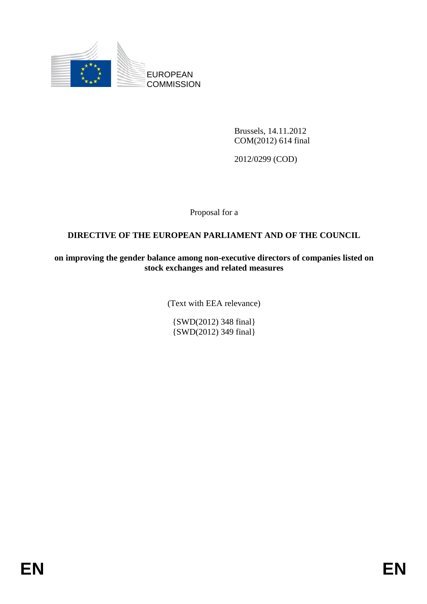

Brussels, 14.11.2012 COM(2012) 614 final

2012/0299 (COD)

Proposal for a

# **DIRECTIVE OF THE EUROPEAN PARLIAMENT AND OF THE COUNCIL**

**on improving the gender balance among non-executive directors of companies listed on stock exchanges and related measures** 

(Text with EEA relevance)

{SWD(2012) 348 final} {SWD(2012) 349 final}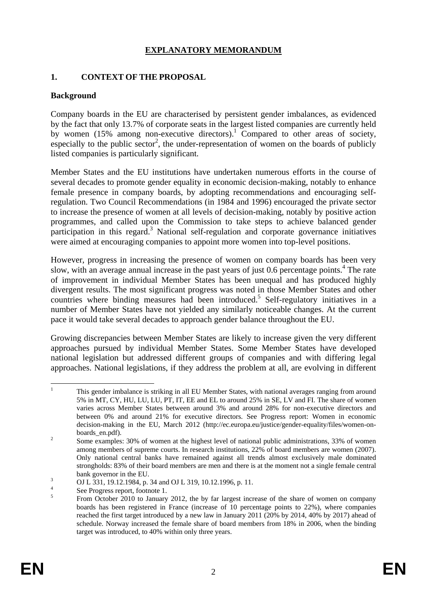## **EXPLANATORY MEMORANDUM**

#### **1. CONTEXT OF THE PROPOSAL**

#### **Background**

Company boards in the EU are characterised by persistent gender imbalances, as evidenced by the fact that only 13.7% of corporate seats in the largest listed companies are currently held by women (15% among non-executive directors).<sup>1</sup> Compared to other areas of society, especially to the public sector<sup>2</sup>, the under-representation of women on the boards of publicly listed companies is particularly significant.

Member States and the EU institutions have undertaken numerous efforts in the course of several decades to promote gender equality in economic decision-making, notably to enhance female presence in company boards, by adopting recommendations and encouraging selfregulation. Two Council Recommendations (in 1984 and 1996) encouraged the private sector to increase the presence of women at all levels of decision-making, notably by positive action programmes, and called upon the Commission to take steps to achieve balanced gender participation in this regard.<sup>3</sup> National self-regulation and corporate governance initiatives were aimed at encouraging companies to appoint more women into top-level positions.

However, progress in increasing the presence of women on company boards has been very slow, with an average annual increase in the past years of just 0.6 percentage points.<sup>4</sup> The rate of improvement in individual Member States has been unequal and has produced highly divergent results. The most significant progress was noted in those Member States and other countries where binding measures had been introduced.<sup>5</sup> Self-regulatory initiatives in a number of Member States have not yielded any similarly noticeable changes. At the current pace it would take several decades to approach gender balance throughout the EU.

Growing discrepancies between Member States are likely to increase given the very different approaches pursued by individual Member States. Some Member States have developed national legislation but addressed different groups of companies and with differing legal approaches. National legislations, if they address the problem at all, are evolving in different

 $\frac{1}{1}$  This gender imbalance is striking in all EU Member States, with national averages ranging from around 5% in MT, CY, HU, LU, LU, PT, IT, EE and EL to around 25% in SE, LV and FI. The share of women varies across Member States between around 3% and around 28% for non-executive directors and between 0% and around 21% for executive directors. See Progress report: Women in economic decision-making in the EU, March 2012 (http://ec.europa.eu/justice/gender-equality/files/women-onboards\_en.pdf).

Some examples: 30% of women at the highest level of national public administrations, 33% of women among members of supreme courts. In research institutions, 22% of board members are women (2007). Only national central banks have remained against all trends almost exclusively male dominated strongholds: 83% of their board members are men and there is at the moment not a single female central  $bank$  governor in the EU.

OJ L 331, 19.12.1984, p. 34 and OJ L 319, 10.12.1996, p. 11.

<sup>4</sup> See Progress report, footnote 1. 5

From October 2010 to January 2012, the by far largest increase of the share of women on company boards has been registered in France (increase of 10 percentage points to 22%), where companies reached the first target introduced by a new law in January 2011 (20% by 2014, 40% by 2017) ahead of schedule. Norway increased the female share of board members from 18% in 2006, when the binding target was introduced, to 40% within only three years.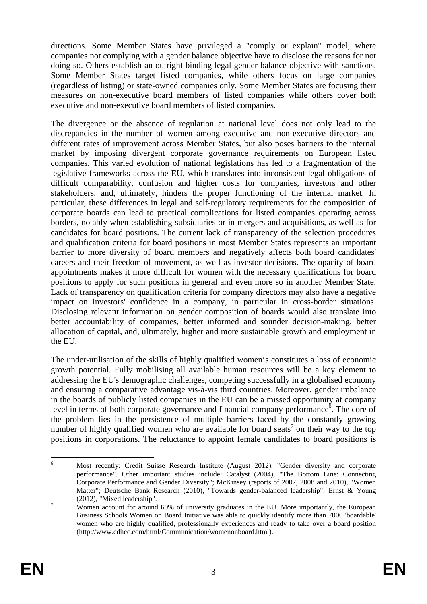directions. Some Member States have privileged a "comply or explain" model, where companies not complying with a gender balance objective have to disclose the reasons for not doing so. Others establish an outright binding legal gender balance objective with sanctions. Some Member States target listed companies, while others focus on large companies (regardless of listing) or state-owned companies only. Some Member States are focusing their measures on non-executive board members of listed companies while others cover both executive and non-executive board members of listed companies.

The divergence or the absence of regulation at national level does not only lead to the discrepancies in the number of women among executive and non-executive directors and different rates of improvement across Member States, but also poses barriers to the internal market by imposing divergent corporate governance requirements on European listed companies. This varied evolution of national legislations has led to a fragmentation of the legislative frameworks across the EU, which translates into inconsistent legal obligations of difficult comparability, confusion and higher costs for companies, investors and other stakeholders, and, ultimately, hinders the proper functioning of the internal market. In particular, these differences in legal and self-regulatory requirements for the composition of corporate boards can lead to practical complications for listed companies operating across borders, notably when establishing subsidiaries or in mergers and acquisitions, as well as for candidates for board positions. The current lack of transparency of the selection procedures and qualification criteria for board positions in most Member States represents an important barrier to more diversity of board members and negatively affects both board candidates' careers and their freedom of movement, as well as investor decisions. The opacity of board appointments makes it more difficult for women with the necessary qualifications for board positions to apply for such positions in general and even more so in another Member State. Lack of transparency on qualification criteria for company directors may also have a negative impact on investors' confidence in a company, in particular in cross-border situations. Disclosing relevant information on gender composition of boards would also translate into better accountability of companies, better informed and sounder decision-making, better allocation of capital, and, ultimately, higher and more sustainable growth and employment in the EU.

The under-utilisation of the skills of highly qualified women's constitutes a loss of economic growth potential. Fully mobilising all available human resources will be a key element to addressing the EU's demographic challenges, competing successfully in a globalised economy and ensuring a comparative advantage vis-à-vis third countries. Moreover, gender imbalance in the boards of publicly listed companies in the EU can be a missed opportunity at company level in terms of both corporate governance and financial company performance<sup>6</sup>. The core of the problem lies in the persistence of multiple barriers faced by the constantly growing number of highly qualified women who are available for board seats<sup>7</sup> on their way to the top positions in corporations. The reluctance to appoint female candidates to board positions is

 $\frac{1}{6}$  Most recently: Credit Suisse Research Institute (August 2012), "Gender diversity and corporate performance". Other important studies include: Catalyst (2004), "The Bottom Line: Connecting Corporate Performance and Gender Diversity"; McKinsey (reports of 2007, 2008 and 2010), "Women Matter"; Deutsche Bank Research (2010), "Towards gender-balanced leadership"; Ernst & Young  $(2012)$ , "Mixed leadership".

Women account for around 60% of university graduates in the EU. More importantly, the European Business Schools Women on Board Initiative was able to quickly identify more than 7000 'boardable' women who are highly qualified, professionally experiences and ready to take over a board position (http://www.edhec.com/html/Communication/womenonboard.html).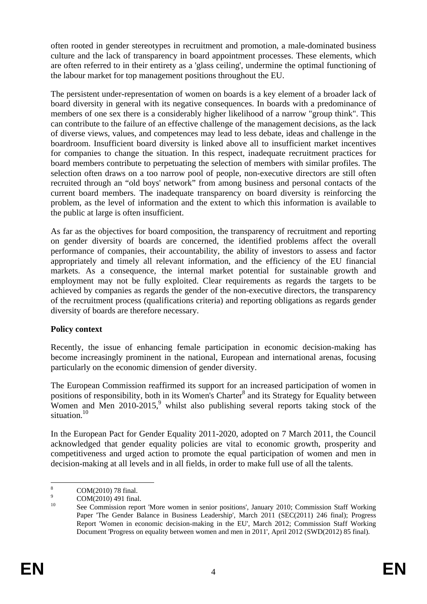often rooted in gender stereotypes in recruitment and promotion, a male-dominated business culture and the lack of transparency in board appointment processes. These elements, which are often referred to in their entirety as a 'glass ceiling', undermine the optimal functioning of the labour market for top management positions throughout the EU.

The persistent under-representation of women on boards is a key element of a broader lack of board diversity in general with its negative consequences. In boards with a predominance of members of one sex there is a considerably higher likelihood of a narrow "group think". This can contribute to the failure of an effective challenge of the management decisions, as the lack of diverse views, values, and competences may lead to less debate, ideas and challenge in the boardroom. Insufficient board diversity is linked above all to insufficient market incentives for companies to change the situation. In this respect, inadequate recruitment practices for board members contribute to perpetuating the selection of members with similar profiles. The selection often draws on a too narrow pool of people, non-executive directors are still often recruited through an "old boys' network" from among business and personal contacts of the current board members. The inadequate transparency on board diversity is reinforcing the problem, as the level of information and the extent to which this information is available to the public at large is often insufficient.

As far as the objectives for board composition, the transparency of recruitment and reporting on gender diversity of boards are concerned, the identified problems affect the overall performance of companies, their accountability, the ability of investors to assess and factor appropriately and timely all relevant information, and the efficiency of the EU financial markets. As a consequence, the internal market potential for sustainable growth and employment may not be fully exploited. Clear requirements as regards the targets to be achieved by companies as regards the gender of the non-executive directors, the transparency of the recruitment process (qualifications criteria) and reporting obligations as regards gender diversity of boards are therefore necessary.

## **Policy context**

Recently, the issue of enhancing female participation in economic decision-making has become increasingly prominent in the national, European and international arenas, focusing particularly on the economic dimension of gender diversity.

The European Commission reaffirmed its support for an increased participation of women in positions of responsibility, both in its Women's Charter<sup>8</sup> and its Strategy for Equality between Women and Men  $2010-2015$ , whilst also publishing several reports taking stock of the situation.<sup>10</sup>

In the European Pact for Gender Equality 2011-2020, adopted on 7 March 2011, the Council acknowledged that gender equality policies are vital to economic growth, prosperity and competitiveness and urged action to promote the equal participation of women and men in decision-making at all levels and in all fields, in order to make full use of all the talents.

 $\frac{1}{8}$  COM(2010) 78 final. 9

 $^{9}$  COM(2010) 491 final.

<sup>10</sup> See Commission report 'More women in senior positions', January 2010; Commission Staff Working Paper 'The Gender Balance in Business Leadership', March 2011 (SEC(2011) 246 final); Progress Report 'Women in economic decision-making in the EU', March 2012; Commission Staff Working Document 'Progress on equality between women and men in 2011', April 2012 (SWD(2012) 85 final).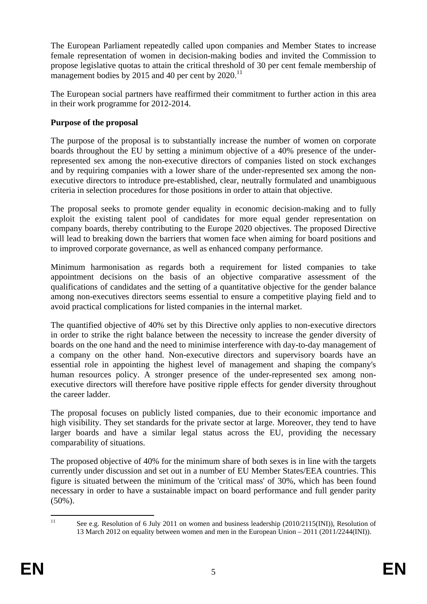The European Parliament repeatedly called upon companies and Member States to increase female representation of women in decision-making bodies and invited the Commission to propose legislative quotas to attain the critical threshold of 30 per cent female membership of management bodies by 2015 and 40 per cent by  $2020$ .<sup>11</sup>

The European social partners have reaffirmed their commitment to further action in this area in their work programme for 2012-2014.

# **Purpose of the proposal**

The purpose of the proposal is to substantially increase the number of women on corporate boards throughout the EU by setting a minimum objective of a 40% presence of the underrepresented sex among the non-executive directors of companies listed on stock exchanges and by requiring companies with a lower share of the under-represented sex among the nonexecutive directors to introduce pre-established, clear, neutrally formulated and unambiguous criteria in selection procedures for those positions in order to attain that objective.

The proposal seeks to promote gender equality in economic decision-making and to fully exploit the existing talent pool of candidates for more equal gender representation on company boards, thereby contributing to the Europe 2020 objectives. The proposed Directive will lead to breaking down the barriers that women face when aiming for board positions and to improved corporate governance, as well as enhanced company performance.

Minimum harmonisation as regards both a requirement for listed companies to take appointment decisions on the basis of an objective comparative assessment of the qualifications of candidates and the setting of a quantitative objective for the gender balance among non-executives directors seems essential to ensure a competitive playing field and to avoid practical complications for listed companies in the internal market.

The quantified objective of 40% set by this Directive only applies to non-executive directors in order to strike the right balance between the necessity to increase the gender diversity of boards on the one hand and the need to minimise interference with day-to-day management of a company on the other hand. Non-executive directors and supervisory boards have an essential role in appointing the highest level of management and shaping the company's human resources policy. A stronger presence of the under-represented sex among nonexecutive directors will therefore have positive ripple effects for gender diversity throughout the career ladder.

The proposal focuses on publicly listed companies, due to their economic importance and high visibility. They set standards for the private sector at large. Moreover, they tend to have larger boards and have a similar legal status across the EU, providing the necessary comparability of situations.

The proposed objective of 40% for the minimum share of both sexes is in line with the targets currently under discussion and set out in a number of EU Member States/EEA countries. This figure is situated between the minimum of the 'critical mass' of 30%, which has been found necessary in order to have a sustainable impact on board performance and full gender parity (50%).

 $11$ See e.g. Resolution of 6 July 2011 on women and business leadership (2010/2115(INI)), Resolution of 13 March 2012 on equality between women and men in the European Union – 2011 (2011/2244(INI)).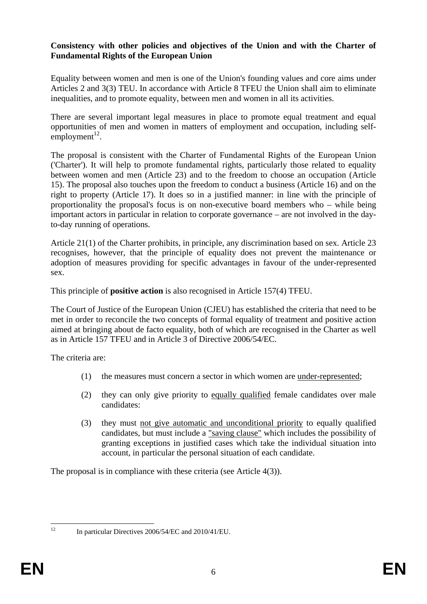#### **Consistency with other policies and objectives of the Union and with the Charter of Fundamental Rights of the European Union**

Equality between women and men is one of the Union's founding values and core aims under Articles 2 and 3(3) TEU. In accordance with Article 8 TFEU the Union shall aim to eliminate inequalities, and to promote equality, between men and women in all its activities.

There are several important legal measures in place to promote equal treatment and equal opportunities of men and women in matters of employment and occupation, including selfemployment $^{12}$ .

The proposal is consistent with the Charter of Fundamental Rights of the European Union ('Charter'). It will help to promote fundamental rights, particularly those related to equality between women and men (Article 23) and to the freedom to choose an occupation (Article 15). The proposal also touches upon the freedom to conduct a business (Article 16) and on the right to property (Article 17). It does so in a justified manner: in line with the principle of proportionality the proposal's focus is on non-executive board members who – while being important actors in particular in relation to corporate governance – are not involved in the dayto-day running of operations.

Article 21(1) of the Charter prohibits, in principle, any discrimination based on sex. Article 23 recognises, however, that the principle of equality does not prevent the maintenance or adoption of measures providing for specific advantages in favour of the under-represented sex.

This principle of **positive action** is also recognised in Article 157(4) TFEU.

The Court of Justice of the European Union (CJEU) has established the criteria that need to be met in order to reconcile the two concepts of formal equality of treatment and positive action aimed at bringing about de facto equality, both of which are recognised in the Charter as well as in Article 157 TFEU and in Article 3 of Directive 2006/54/EC.

The criteria are:

- (1) the measures must concern a sector in which women are under-represented;
- (2) they can only give priority to equally qualified female candidates over male candidates:
- (3) they must not give automatic and unconditional priority to equally qualified candidates, but must include a "saving clause" which includes the possibility of granting exceptions in justified cases which take the individual situation into account, in particular the personal situation of each candidate.

The proposal is in compliance with these criteria (see Article 4(3)).

 $12$ 

<sup>12</sup> In particular Directives 2006/54/EC and 2010/41/EU.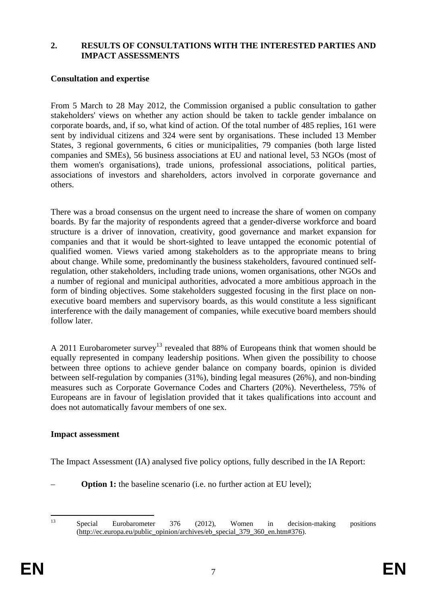#### **2. RESULTS OF CONSULTATIONS WITH THE INTERESTED PARTIES AND IMPACT ASSESSMENTS**

#### **Consultation and expertise**

From 5 March to 28 May 2012, the Commission organised a public consultation to gather stakeholders' views on whether any action should be taken to tackle gender imbalance on corporate boards, and, if so, what kind of action. Of the total number of 485 replies, 161 were sent by individual citizens and 324 were sent by organisations. These included 13 Member States, 3 regional governments, 6 cities or municipalities, 79 companies (both large listed companies and SMEs), 56 business associations at EU and national level, 53 NGOs (most of them women's organisations), trade unions, professional associations, political parties, associations of investors and shareholders, actors involved in corporate governance and others.

There was a broad consensus on the urgent need to increase the share of women on company boards. By far the majority of respondents agreed that a gender-diverse workforce and board structure is a driver of innovation, creativity, good governance and market expansion for companies and that it would be short-sighted to leave untapped the economic potential of qualified women. Views varied among stakeholders as to the appropriate means to bring about change. While some, predominantly the business stakeholders, favoured continued selfregulation, other stakeholders, including trade unions, women organisations, other NGOs and a number of regional and municipal authorities, advocated a more ambitious approach in the form of binding objectives. Some stakeholders suggested focusing in the first place on nonexecutive board members and supervisory boards, as this would constitute a less significant interference with the daily management of companies, while executive board members should follow later.

A 2011 Eurobarometer survey<sup>13</sup> revealed that 88% of Europeans think that women should be equally represented in company leadership positions. When given the possibility to choose between three options to achieve gender balance on company boards, opinion is divided between self-regulation by companies (31%), binding legal measures (26%), and non-binding measures such as Corporate Governance Codes and Charters (20%). Nevertheless, 75% of Europeans are in favour of legislation provided that it takes qualifications into account and does not automatically favour members of one sex.

#### **Impact assessment**

The Impact Assessment (IA) analysed five policy options, fully described in the IA Report:

**Option 1:** the baseline scenario (i.e. no further action at EU level);

 $13$ 

<sup>13</sup> Special Eurobarometer 376 (2012), Women in decision-making positions [\(http://ec.europa.eu/public\\_opinion/archives/eb\\_special\\_379\\_360\\_en.htm#376\).](http://ec.europa.eu/public_opinion/archives/eb_special_379_360_en.htm#376)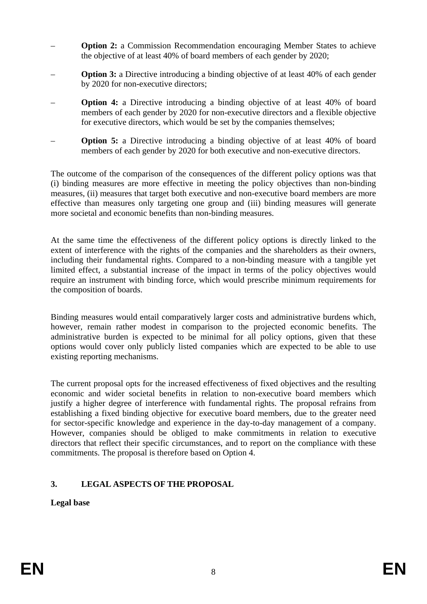- **Option 2:** a Commission Recommendation encouraging Member States to achieve the objective of at least 40% of board members of each gender by 2020;
- **Option 3:** a Directive introducing a binding objective of at least 40% of each gender by 2020 for non-executive directors;
- **Option 4:** a Directive introducing a binding objective of at least 40% of board members of each gender by 2020 for non-executive directors and a flexible objective for executive directors, which would be set by the companies themselves;
- **Option 5:** a Directive introducing a binding objective of at least 40% of board members of each gender by 2020 for both executive and non-executive directors.

The outcome of the comparison of the consequences of the different policy options was that (i) binding measures are more effective in meeting the policy objectives than non-binding measures, (ii) measures that target both executive and non-executive board members are more effective than measures only targeting one group and (iii) binding measures will generate more societal and economic benefits than non-binding measures.

At the same time the effectiveness of the different policy options is directly linked to the extent of interference with the rights of the companies and the shareholders as their owners, including their fundamental rights. Compared to a non-binding measure with a tangible yet limited effect, a substantial increase of the impact in terms of the policy objectives would require an instrument with binding force, which would prescribe minimum requirements for the composition of boards.

Binding measures would entail comparatively larger costs and administrative burdens which, however, remain rather modest in comparison to the projected economic benefits. The administrative burden is expected to be minimal for all policy options, given that these options would cover only publicly listed companies which are expected to be able to use existing reporting mechanisms.

The current proposal opts for the increased effectiveness of fixed objectives and the resulting economic and wider societal benefits in relation to non-executive board members which justify a higher degree of interference with fundamental rights. The proposal refrains from establishing a fixed binding objective for executive board members, due to the greater need for sector-specific knowledge and experience in the day-to-day management of a company. However, companies should be obliged to make commitments in relation to executive directors that reflect their specific circumstances, and to report on the compliance with these commitments. The proposal is therefore based on Option 4.

# **3. LEGAL ASPECTS OF THE PROPOSAL**

**Legal base**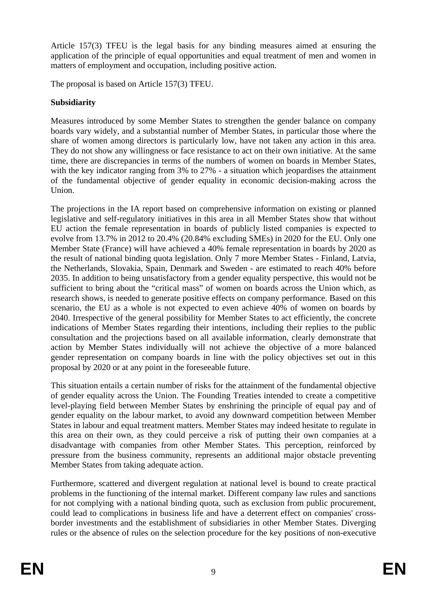Article 157(3) TFEU is the legal basis for any binding measures aimed at ensuring the application of the principle of equal opportunities and equal treatment of men and women in matters of employment and occupation, including positive action.

The proposal is based on Article 157(3) TFEU.

# **Subsidiarity**

Measures introduced by some Member States to strengthen the gender balance on company boards vary widely, and a substantial number of Member States, in particular those where the share of women among directors is particularly low, have not taken any action in this area. They do not show any willingness or face resistance to act on their own initiative. At the same time, there are discrepancies in terms of the numbers of women on boards in Member States, with the key indicator ranging from 3% to 27% - a situation which jeopardises the attainment of the fundamental objective of gender equality in economic decision-making across the Union.

The projections in the IA report based on comprehensive information on existing or planned legislative and self-regulatory initiatives in this area in all Member States show that without EU action the female representation in boards of publicly listed companies is expected to evolve from 13.7% in 2012 to 20.4% (20.84% excluding SMEs) in 2020 for the EU. Only one Member State (France) will have achieved a 40% female representation in boards by 2020 as the result of national binding quota legislation. Only 7 more Member States - Finland, Latvia, the Netherlands, Slovakia, Spain, Denmark and Sweden - are estimated to reach 40% before 2035. In addition to being unsatisfactory from a gender equality perspective, this would not be sufficient to bring about the "critical mass" of women on boards across the Union which, as research shows, is needed to generate positive effects on company performance. Based on this scenario, the EU as a whole is not expected to even achieve 40% of women on boards by 2040. Irrespective of the general possibility for Member States to act efficiently, the concrete indications of Member States regarding their intentions, including their replies to the public consultation and the projections based on all available information, clearly demonstrate that action by Member States individually will not achieve the objective of a more balanced gender representation on company boards in line with the policy objectives set out in this proposal by 2020 or at any point in the foreseeable future.

This situation entails a certain number of risks for the attainment of the fundamental objective of gender equality across the Union. The Founding Treaties intended to create a competitive level-playing field between Member States by enshrining the principle of equal pay and of gender equality on the labour market, to avoid any downward competition between Member States in labour and equal treatment matters. Member States may indeed hesitate to regulate in this area on their own, as they could perceive a risk of putting their own companies at a disadvantage with companies from other Member States. This perception, reinforced by pressure from the business community, represents an additional major obstacle preventing Member States from taking adequate action.

Furthermore, scattered and divergent regulation at national level is bound to create practical problems in the functioning of the internal market. Different company law rules and sanctions for not complying with a national binding quota, such as exclusion from public procurement, could lead to complications in business life and have a deterrent effect on companies' crossborder investments and the establishment of subsidiaries in other Member States. Diverging rules or the absence of rules on the selection procedure for the key positions of non-executive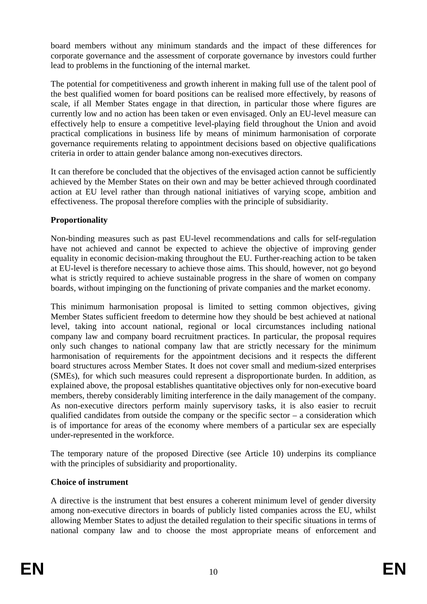board members without any minimum standards and the impact of these differences for corporate governance and the assessment of corporate governance by investors could further lead to problems in the functioning of the internal market.

The potential for competitiveness and growth inherent in making full use of the talent pool of the best qualified women for board positions can be realised more effectively, by reasons of scale, if all Member States engage in that direction, in particular those where figures are currently low and no action has been taken or even envisaged. Only an EU-level measure can effectively help to ensure a competitive level-playing field throughout the Union and avoid practical complications in business life by means of minimum harmonisation of corporate governance requirements relating to appointment decisions based on objective qualifications criteria in order to attain gender balance among non-executives directors.

It can therefore be concluded that the objectives of the envisaged action cannot be sufficiently achieved by the Member States on their own and may be better achieved through coordinated action at EU level rather than through national initiatives of varying scope, ambition and effectiveness. The proposal therefore complies with the principle of subsidiarity.

# **Proportionality**

Non-binding measures such as past EU-level recommendations and calls for self-regulation have not achieved and cannot be expected to achieve the objective of improving gender equality in economic decision-making throughout the EU. Further-reaching action to be taken at EU-level is therefore necessary to achieve those aims. This should, however, not go beyond what is strictly required to achieve sustainable progress in the share of women on company boards, without impinging on the functioning of private companies and the market economy.

This minimum harmonisation proposal is limited to setting common objectives, giving Member States sufficient freedom to determine how they should be best achieved at national level, taking into account national, regional or local circumstances including national company law and company board recruitment practices. In particular, the proposal requires only such changes to national company law that are strictly necessary for the minimum harmonisation of requirements for the appointment decisions and it respects the different board structures across Member States. It does not cover small and medium-sized enterprises (SMEs), for which such measures could represent a disproportionate burden. In addition, as explained above, the proposal establishes quantitative objectives only for non-executive board members, thereby considerably limiting interference in the daily management of the company. As non-executive directors perform mainly supervisory tasks, it is also easier to recruit qualified candidates from outside the company or the specific sector – a consideration which is of importance for areas of the economy where members of a particular sex are especially under-represented in the workforce.

The temporary nature of the proposed Directive (see Article 10) underpins its compliance with the principles of subsidiarity and proportionality.

## **Choice of instrument**

A directive is the instrument that best ensures a coherent minimum level of gender diversity among non-executive directors in boards of publicly listed companies across the EU, whilst allowing Member States to adjust the detailed regulation to their specific situations in terms of national company law and to choose the most appropriate means of enforcement and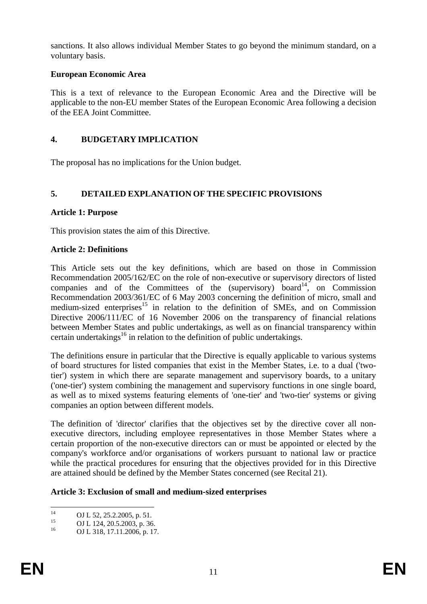sanctions. It also allows individual Member States to go beyond the minimum standard, on a voluntary basis.

# **European Economic Area**

This is a text of relevance to the European Economic Area and the Directive will be applicable to the non-EU member States of the European Economic Area following a decision of the EEA Joint Committee.

# **4. BUDGETARY IMPLICATION**

The proposal has no implications for the Union budget.

# **5. DETAILED EXPLANATION OF THE SPECIFIC PROVISIONS**

# **Article 1: Purpose**

This provision states the aim of this Directive.

# **Article 2: Definitions**

This Article sets out the key definitions, which are based on those in Commission Recommendation 2005/162/EC on the role of non-executive or supervisory directors of listed companies and of the Committees of the (supervisory) board<sup>14</sup>, on Commission Recommendation 2003/361/EC of 6 May 2003 concerning the definition of micro, small and medium-sized enterprises<sup>15</sup> in relation to the definition of SMEs, and on Commission Directive 2006/111/EC of 16 November 2006 on the transparency of financial relations between Member States and public undertakings, as well as on financial transparency within certain undertakings<sup>16</sup> in relation to the definition of public undertakings.

The definitions ensure in particular that the Directive is equally applicable to various systems of board structures for listed companies that exist in the Member States, i.e. to a dual ('twotier') system in which there are separate management and supervisory boards, to a unitary ('one-tier') system combining the management and supervisory functions in one single board, as well as to mixed systems featuring elements of 'one-tier' and 'two-tier' systems or giving companies an option between different models.

The definition of 'director' clarifies that the objectives set by the directive cover all nonexecutive directors, including employee representatives in those Member States where a certain proportion of the non-executive directors can or must be appointed or elected by the company's workforce and/or organisations of workers pursuant to national law or practice while the practical procedures for ensuring that the objectives provided for in this Directive are attained should be defined by the Member States concerned (see Recital 21).

## **Article 3: Exclusion of small and medium-sized enterprises**

 $14$ <sup>14</sup> OJ L 52, 25.2.2005, p. 51.

 $15$  OJ L 124, 20.5.2003, p. 36.

OJ L 318, 17.11.2006, p. 17.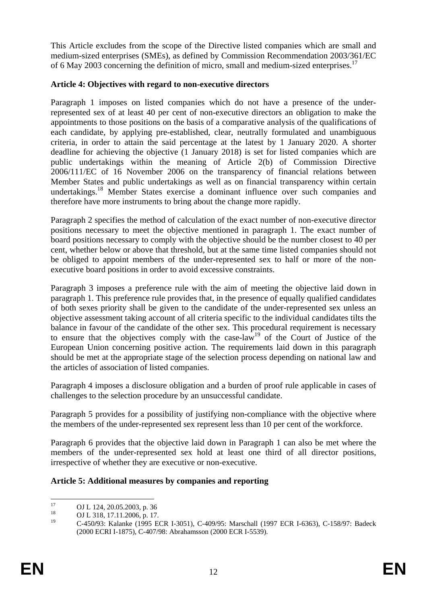This Article excludes from the scope of the Directive listed companies which are small and medium-sized enterprises (SMEs), as defined by Commission Recommendation 2003/361/EC of 6 May 2003 concerning the definition of micro, small and medium-sized enterprises.<sup>17</sup>

# **Article 4: Objectives with regard to non-executive directors**

Paragraph 1 imposes on listed companies which do not have a presence of the underrepresented sex of at least 40 per cent of non-executive directors an obligation to make the appointments to those positions on the basis of a comparative analysis of the qualifications of each candidate, by applying pre-established, clear, neutrally formulated and unambiguous criteria, in order to attain the said percentage at the latest by 1 January 2020. A shorter deadline for achieving the objective (1 January 2018) is set for listed companies which are public undertakings within the meaning of Article 2(b) of Commission Directive 2006/111/EC of 16 November 2006 on the transparency of financial relations between Member States and public undertakings as well as on financial transparency within certain undertakings.<sup>18</sup> Member States exercise a dominant influence over such companies and therefore have more instruments to bring about the change more rapidly.

Paragraph 2 specifies the method of calculation of the exact number of non-executive director positions necessary to meet the objective mentioned in paragraph 1. The exact number of board positions necessary to comply with the objective should be the number closest to 40 per cent, whether below or above that threshold, but at the same time listed companies should not be obliged to appoint members of the under-represented sex to half or more of the nonexecutive board positions in order to avoid excessive constraints.

Paragraph 3 imposes a preference rule with the aim of meeting the objective laid down in paragraph 1. This preference rule provides that, in the presence of equally qualified candidates of both sexes priority shall be given to the candidate of the under-represented sex unless an objective assessment taking account of all criteria specific to the individual candidates tilts the balance in favour of the candidate of the other sex. This procedural requirement is necessary to ensure that the objectives comply with the case-law<sup>19</sup> of the Court of Justice of the European Union concerning positive action. The requirements laid down in this paragraph should be met at the appropriate stage of the selection process depending on national law and the articles of association of listed companies.

Paragraph 4 imposes a disclosure obligation and a burden of proof rule applicable in cases of challenges to the selection procedure by an unsuccessful candidate.

Paragraph 5 provides for a possibility of justifying non-compliance with the objective where the members of the under-represented sex represent less than 10 per cent of the workforce.

Paragraph 6 provides that the objective laid down in Paragraph 1 can also be met where the members of the under-represented sex hold at least one third of all director positions, irrespective of whether they are executive or non-executive.

# **Article 5: Additional measures by companies and reporting**

 $17$  $17$  OJ L 124, 20.05.2003, p. 36

<sup>&</sup>lt;sup>18</sup> OJ L 318, 17.11.2006, p. 17.

<sup>19</sup> C-450**/**93: Kalanke (1995 ECR I-3051), C-409/95: Marschall (1997 ECR I-6363), C-158/97: Badeck (2000 ECRI I-1875), C-407/98: Abrahamsson (2000 ECR I-5539).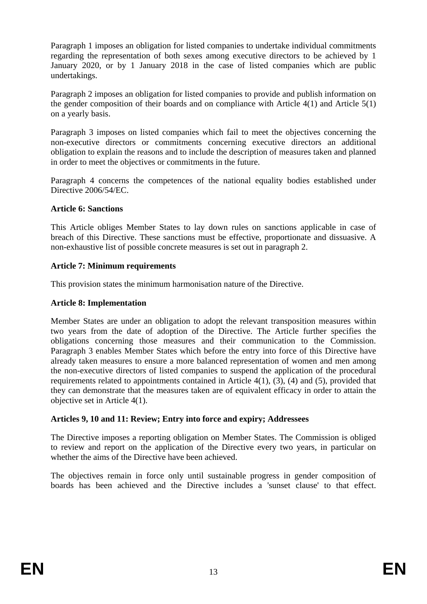Paragraph 1 imposes an obligation for listed companies to undertake individual commitments regarding the representation of both sexes among executive directors to be achieved by 1 January 2020, or by 1 January 2018 in the case of listed companies which are public undertakings.

Paragraph 2 imposes an obligation for listed companies to provide and publish information on the gender composition of their boards and on compliance with Article 4(1) and Article 5(1) on a yearly basis.

Paragraph 3 imposes on listed companies which fail to meet the objectives concerning the non-executive directors or commitments concerning executive directors an additional obligation to explain the reasons and to include the description of measures taken and planned in order to meet the objectives or commitments in the future.

Paragraph 4 concerns the competences of the national equality bodies established under Directive 2006/54/EC.

#### **Article 6: Sanctions**

This Article obliges Member States to lay down rules on sanctions applicable in case of breach of this Directive. These sanctions must be effective, proportionate and dissuasive. A non-exhaustive list of possible concrete measures is set out in paragraph 2.

### **Article 7: Minimum requirements**

This provision states the minimum harmonisation nature of the Directive.

### **Article 8: Implementation**

Member States are under an obligation to adopt the relevant transposition measures within two years from the date of adoption of the Directive. The Article further specifies the obligations concerning those measures and their communication to the Commission. Paragraph 3 enables Member States which before the entry into force of this Directive have already taken measures to ensure a more balanced representation of women and men among the non-executive directors of listed companies to suspend the application of the procedural requirements related to appointments contained in Article 4(1), (3), (4) and (5), provided that they can demonstrate that the measures taken are of equivalent efficacy in order to attain the objective set in Article 4(1).

#### **Articles 9, 10 and 11: Review; Entry into force and expiry; Addressees**

The Directive imposes a reporting obligation on Member States. The Commission is obliged to review and report on the application of the Directive every two years, in particular on whether the aims of the Directive have been achieved.

The objectives remain in force only until sustainable progress in gender composition of boards has been achieved and the Directive includes a 'sunset clause' to that effect.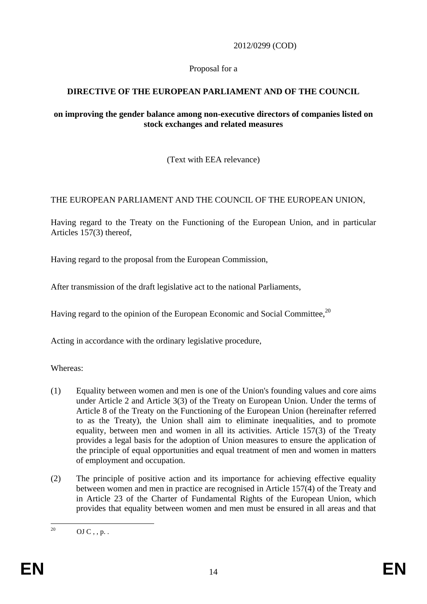2012/0299 (COD)

# Proposal for a

# **DIRECTIVE OF THE EUROPEAN PARLIAMENT AND OF THE COUNCIL**

### **on improving the gender balance among non-executive directors of companies listed on stock exchanges and related measures**

(Text with EEA relevance)

# THE EUROPEAN PARLIAMENT AND THE COUNCIL OF THE EUROPEAN UNION,

Having regard to the Treaty on the Functioning of the European Union, and in particular Articles 157(3) thereof,

Having regard to the proposal from the European Commission,

After transmission of the draft legislative act to the national Parliaments,

Having regard to the opinion of the European Economic and Social Committee.<sup>20</sup>

Acting in accordance with the ordinary legislative procedure,

Whereas:

- (1) Equality between women and men is one of the Union's founding values and core aims under Article 2 and Article 3(3) of the Treaty on European Union. Under the terms of Article 8 of the Treaty on the Functioning of the European Union (hereinafter referred to as the Treaty), the Union shall aim to eliminate inequalities, and to promote equality, between men and women in all its activities. Article 157(3) of the Treaty provides a legal basis for the adoption of Union measures to ensure the application of the principle of equal opportunities and equal treatment of men and women in matters of employment and occupation.
- (2) The principle of positive action and its importance for achieving effective equality between women and men in practice are recognised in Article 157(4) of the Treaty and in Article 23 of the Charter of Fundamental Rights of the European Union, which provides that equality between women and men must be ensured in all areas and that

 $20$  $OJ C \ldots p$ .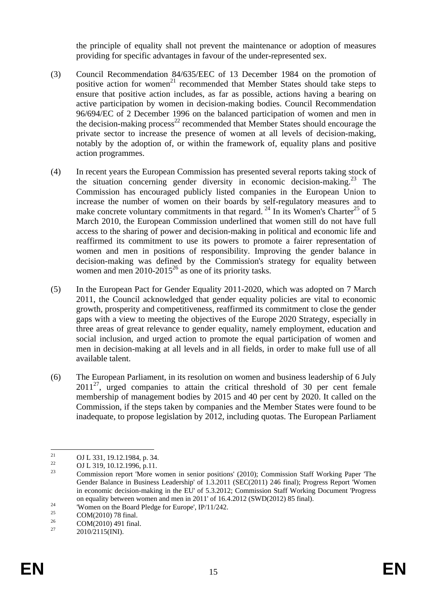the principle of equality shall not prevent the maintenance or adoption of measures providing for specific advantages in favour of the under-represented sex.

- (3) Council Recommendation 84/635/EEC of 13 December 1984 on the promotion of positive action for women<sup>21</sup> recommended that Member States should take steps to ensure that positive action includes, as far as possible, actions having a bearing on active participation by women in decision-making bodies. Council Recommendation 96/694/EC of 2 December 1996 on the balanced participation of women and men in the decision-making process<sup>22</sup> recommended that Member States should encourage the private sector to increase the presence of women at all levels of decision-making, notably by the adoption of, or within the framework of, equality plans and positive action programmes.
- (4) In recent years the European Commission has presented several reports taking stock of the situation concerning gender diversity in economic decision-making.23 The Commission has encouraged publicly listed companies in the European Union to increase the number of women on their boards by self-regulatory measures and to make concrete voluntary commitments in that regard.<sup>24</sup> In its Women's Charter<sup>25</sup> of 5 March 2010, the European Commission underlined that women still do not have full access to the sharing of power and decision-making in political and economic life and reaffirmed its commitment to use its powers to promote a fairer representation of women and men in positions of responsibility. Improving the gender balance in decision-making was defined by the Commission's strategy for equality between women and men  $2010-2015^{26}$  as one of its priority tasks.
- (5) In the European Pact for Gender Equality 2011-2020, which was adopted on 7 March 2011, the Council acknowledged that gender equality policies are vital to economic growth, prosperity and competitiveness, reaffirmed its commitment to close the gender gaps with a view to meeting the objectives of the Europe 2020 Strategy, especially in three areas of great relevance to gender equality, namely employment, education and social inclusion, and urged action to promote the equal participation of women and men in decision-making at all levels and in all fields, in order to make full use of all available talent.
- (6) The European Parliament, in its resolution on women and business leadership of 6 July  $2011^{27}$ , urged companies to attain the critical threshold of 30 per cent female membership of management bodies by 2015 and 40 per cent by 2020. It called on the Commission, if the steps taken by companies and the Member States were found to be inadequate, to propose legislation by 2012, including quotas. The European Parliament

 $\overline{21}$ <sup>21</sup> OJ L 331, 19.12.1984, p. 34.<br>
OJ L 310, 10.12.1996, p. 11.

<sup>&</sup>lt;sup>22</sup> OJ L 319, 10.12.1996, p.11.<br>Commission named Many 11

<sup>23</sup> Commission report 'More women in senior positions' (2010); Commission Staff Working Paper 'The Gender Balance in Business Leadership' of 1.3.2011 (SEC(2011) 246 final); Progress Report 'Women in economic decision-making in the EU' of 5.3.2012; Commission Staff Working Document 'Progress on equality between women and men in 2011' of 16.4.2012 (SWD(2012) 85 final).<br>
"Women on the Board Pledge for Europe', IP/11/242.<br>  $SOM(2010)$ <sup>79</sup> final).

<sup>&</sup>lt;sup>25</sup> COM(2010) 78 final.

 $^{26}$  COM(2010) 491 final.

<sup>2010/2115(</sup>INI).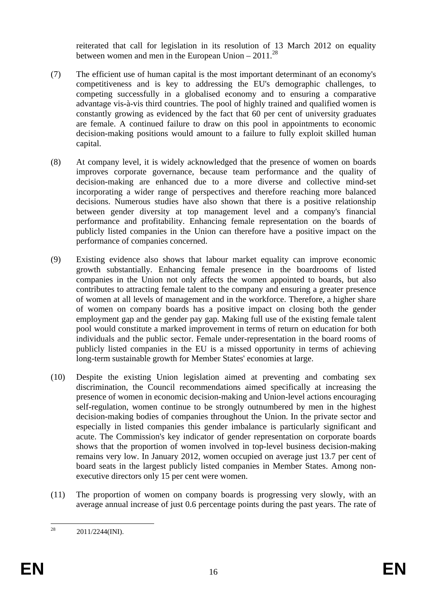reiterated that call for legislation in its resolution of 13 March 2012 on equality between women and men in the European Union –  $2011^{28}$ 

- (7) The efficient use of human capital is the most important determinant of an economy's competitiveness and is key to addressing the EU's demographic challenges, to competing successfully in a globalised economy and to ensuring a comparative advantage vis-à-vis third countries. The pool of highly trained and qualified women is constantly growing as evidenced by the fact that 60 per cent of university graduates are female. A continued failure to draw on this pool in appointments to economic decision-making positions would amount to a failure to fully exploit skilled human capital.
- (8) At company level, it is widely acknowledged that the presence of women on boards improves corporate governance, because team performance and the quality of decision-making are enhanced due to a more diverse and collective mind-set incorporating a wider range of perspectives and therefore reaching more balanced decisions. Numerous studies have also shown that there is a positive relationship between gender diversity at top management level and a company's financial performance and profitability. Enhancing female representation on the boards of publicly listed companies in the Union can therefore have a positive impact on the performance of companies concerned.
- (9) Existing evidence also shows that labour market equality can improve economic growth substantially. Enhancing female presence in the boardrooms of listed companies in the Union not only affects the women appointed to boards, but also contributes to attracting female talent to the company and ensuring a greater presence of women at all levels of management and in the workforce. Therefore, a higher share of women on company boards has a positive impact on closing both the gender employment gap and the gender pay gap. Making full use of the existing female talent pool would constitute a marked improvement in terms of return on education for both individuals and the public sector. Female under-representation in the board rooms of publicly listed companies in the EU is a missed opportunity in terms of achieving long-term sustainable growth for Member States' economies at large.
- (10) Despite the existing Union legislation aimed at preventing and combating sex discrimination, the Council recommendations aimed specifically at increasing the presence of women in economic decision-making and Union-level actions encouraging self-regulation, women continue to be strongly outnumbered by men in the highest decision-making bodies of companies throughout the Union. In the private sector and especially in listed companies this gender imbalance is particularly significant and acute. The Commission's key indicator of gender representation on corporate boards shows that the proportion of women involved in top-level business decision-making remains very low. In January 2012, women occupied on average just 13.7 per cent of board seats in the largest publicly listed companies in Member States. Among nonexecutive directors only 15 per cent were women.
- (11) The proportion of women on company boards is progressing very slowly, with an average annual increase of just 0.6 percentage points during the past years. The rate of

 $28$ 28 2011/2244(INI).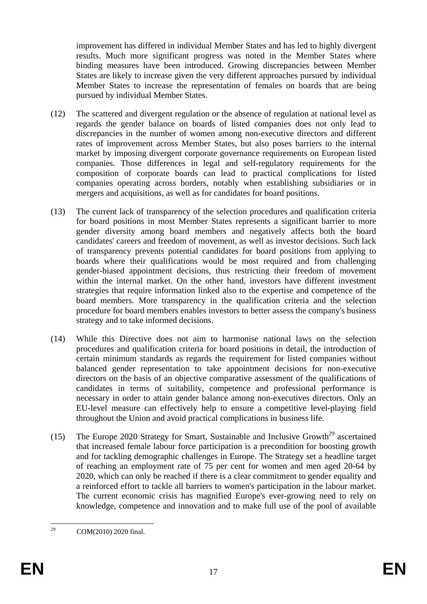improvement has differed in individual Member States and has led to highly divergent results. Much more significant progress was noted in the Member States where binding measures have been introduced. Growing discrepancies between Member States are likely to increase given the very different approaches pursued by individual Member States to increase the representation of females on boards that are being pursued by individual Member States.

- (12) The scattered and divergent regulation or the absence of regulation at national level as regards the gender balance on boards of listed companies does not only lead to discrepancies in the number of women among non-executive directors and different rates of improvement across Member States, but also poses barriers to the internal market by imposing divergent corporate governance requirements on European listed companies. Those differences in legal and self-regulatory requirements for the composition of corporate boards can lead to practical complications for listed companies operating across borders, notably when establishing subsidiaries or in mergers and acquisitions, as well as for candidates for board positions.
- (13) The current lack of transparency of the selection procedures and qualification criteria for board positions in most Member States represents a significant barrier to more gender diversity among board members and negatively affects both the board candidates' careers and freedom of movement, as well as investor decisions. Such lack of transparency prevents potential candidates for board positions from applying to boards where their qualifications would be most required and from challenging gender-biased appointment decisions, thus restricting their freedom of movement within the internal market. On the other hand, investors have different investment strategies that require information linked also to the expertise and competence of the board members. More transparency in the qualification criteria and the selection procedure for board members enables investors to better assess the company's business strategy and to take informed decisions.
- (14) While this Directive does not aim to harmonise national laws on the selection procedures and qualification criteria for board positions in detail, the introduction of certain minimum standards as regards the requirement for listed companies without balanced gender representation to take appointment decisions for non-executive directors on the basis of an objective comparative assessment of the qualifications of candidates in terms of suitability, competence and professional performance is necessary in order to attain gender balance among non-executives directors. Only an EU-level measure can effectively help to ensure a competitive level-playing field throughout the Union and avoid practical complications in business life.
- (15) The Europe 2020 Strategy for Smart, Sustainable and Inclusive Growth<sup>29</sup> ascertained that increased female labour force participation is a precondition for boosting growth and for tackling demographic challenges in Europe. The Strategy set a headline target of reaching an employment rate of 75 per cent for women and men aged 20-64 by 2020, which can only be reached if there is a clear commitment to gender equality and a reinforced effort to tackle all barriers to women's participation in the labour market. The current economic crisis has magnified Europe's ever-growing need to rely on knowledge, competence and innovation and to make full use of the pool of available

 $29$ <sup>29</sup> COM(2010) 2020 final.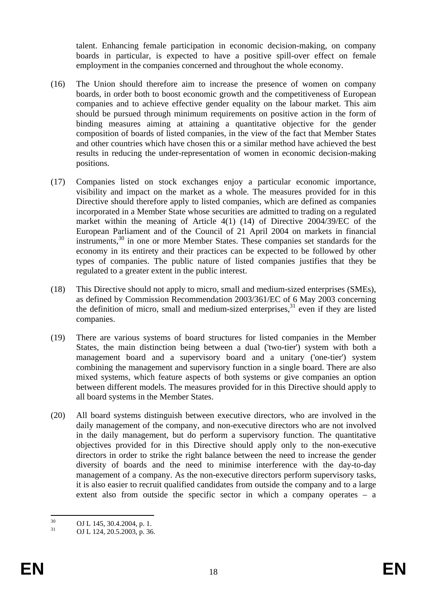talent. Enhancing female participation in economic decision-making, on company boards in particular, is expected to have a positive spill-over effect on female employment in the companies concerned and throughout the whole economy.

- (16) The Union should therefore aim to increase the presence of women on company boards, in order both to boost economic growth and the competitiveness of European companies and to achieve effective gender equality on the labour market. This aim should be pursued through minimum requirements on positive action in the form of binding measures aiming at attaining a quantitative objective for the gender composition of boards of listed companies, in the view of the fact that Member States and other countries which have chosen this or a similar method have achieved the best results in reducing the under-representation of women in economic decision-making positions.
- (17) Companies listed on stock exchanges enjoy a particular economic importance, visibility and impact on the market as a whole. The measures provided for in this Directive should therefore apply to listed companies, which are defined as companies incorporated in a Member State whose securities are admitted to trading on a regulated market within the meaning of Article 4(1) (14) of Directive 2004/39/EC of the European Parliament and of the Council of 21 April 2004 on markets in financial instruments,30 in one or more Member States. These companies set standards for the economy in its entirety and their practices can be expected to be followed by other types of companies. The public nature of listed companies justifies that they be regulated to a greater extent in the public interest.
- (18) This Directive should not apply to micro, small and medium-sized enterprises (SMEs), as defined by Commission Recommendation 2003/361/EC of 6 May 2003 concerning the definition of micro, small and medium-sized enterprises, $31$  even if they are listed companies.
- (19) There are various systems of board structures for listed companies in the Member States, the main distinction being between a dual ('two-tier') system with both a management board and a supervisory board and a unitary ('one-tier') system combining the management and supervisory function in a single board. There are also mixed systems, which feature aspects of both systems or give companies an option between different models. The measures provided for in this Directive should apply to all board systems in the Member States.
- (20) All board systems distinguish between executive directors, who are involved in the daily management of the company, and non-executive directors who are not involved in the daily management, but do perform a supervisory function. The quantitative objectives provided for in this Directive should apply only to the non-executive directors in order to strike the right balance between the need to increase the gender diversity of boards and the need to minimise interference with the day-to-day management of a company. As the non-executive directors perform supervisory tasks, it is also easier to recruit qualified candidates from outside the company and to a large extent also from outside the specific sector in which a company operates – a

 $30$  $^{30}$  OJ L 145, 30.4.2004, p. 1.<br> $^{31}$  OJ L 124, 20.5, 2002, p. 26

<sup>31</sup> OJ L 124, 20.5.2003, p. 36.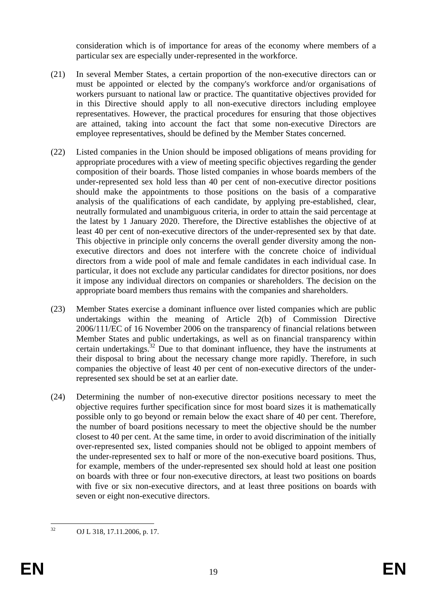consideration which is of importance for areas of the economy where members of a particular sex are especially under-represented in the workforce.

- (21) In several Member States, a certain proportion of the non-executive directors can or must be appointed or elected by the company's workforce and/or organisations of workers pursuant to national law or practice. The quantitative objectives provided for in this Directive should apply to all non-executive directors including employee representatives. However, the practical procedures for ensuring that those objectives are attained, taking into account the fact that some non-executive Directors are employee representatives, should be defined by the Member States concerned.
- (22) Listed companies in the Union should be imposed obligations of means providing for appropriate procedures with a view of meeting specific objectives regarding the gender composition of their boards. Those listed companies in whose boards members of the under-represented sex hold less than 40 per cent of non-executive director positions should make the appointments to those positions on the basis of a comparative analysis of the qualifications of each candidate, by applying pre-established, clear, neutrally formulated and unambiguous criteria, in order to attain the said percentage at the latest by 1 January 2020. Therefore, the Directive establishes the objective of at least 40 per cent of non-executive directors of the under-represented sex by that date. This objective in principle only concerns the overall gender diversity among the nonexecutive directors and does not interfere with the concrete choice of individual directors from a wide pool of male and female candidates in each individual case. In particular, it does not exclude any particular candidates for director positions, nor does it impose any individual directors on companies or shareholders. The decision on the appropriate board members thus remains with the companies and shareholders.
- (23) Member States exercise a dominant influence over listed companies which are public undertakings within the meaning of Article 2(b) of Commission Directive 2006/111/EC of 16 November 2006 on the transparency of financial relations between Member States and public undertakings, as well as on financial transparency within certain undertakings.<sup>32</sup> Due to that dominant influence, they have the instruments at their disposal to bring about the necessary change more rapidly. Therefore, in such companies the objective of least 40 per cent of non-executive directors of the underrepresented sex should be set at an earlier date.
- (24) Determining the number of non-executive director positions necessary to meet the objective requires further specification since for most board sizes it is mathematically possible only to go beyond or remain below the exact share of 40 per cent. Therefore, the number of board positions necessary to meet the objective should be the number closest to 40 per cent. At the same time, in order to avoid discrimination of the initially over-represented sex, listed companies should not be obliged to appoint members of the under-represented sex to half or more of the non-executive board positions. Thus, for example, members of the under-represented sex should hold at least one position on boards with three or four non-executive directors, at least two positions on boards with five or six non-executive directors, and at least three positions on boards with seven or eight non-executive directors.

 $32$ 32 OJ L 318, 17.11.2006, p. 17.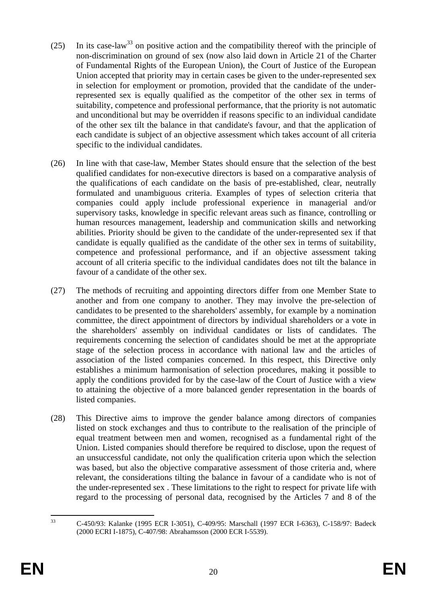- (25) In its case-law<sup>33</sup> on positive action and the compatibility thereof with the principle of non-discrimination on ground of sex (now also laid down in Article 21 of the Charter of Fundamental Rights of the European Union), the Court of Justice of the European Union accepted that priority may in certain cases be given to the under-represented sex in selection for employment or promotion, provided that the candidate of the underrepresented sex is equally qualified as the competitor of the other sex in terms of suitability, competence and professional performance, that the priority is not automatic and unconditional but may be overridden if reasons specific to an individual candidate of the other sex tilt the balance in that candidate's favour, and that the application of each candidate is subject of an objective assessment which takes account of all criteria specific to the individual candidates.
- (26) In line with that case-law, Member States should ensure that the selection of the best qualified candidates for non-executive directors is based on a comparative analysis of the qualifications of each candidate on the basis of pre-established, clear, neutrally formulated and unambiguous criteria. Examples of types of selection criteria that companies could apply include professional experience in managerial and/or supervisory tasks, knowledge in specific relevant areas such as finance, controlling or human resources management, leadership and communication skills and networking abilities. Priority should be given to the candidate of the under-represented sex if that candidate is equally qualified as the candidate of the other sex in terms of suitability, competence and professional performance, and if an objective assessment taking account of all criteria specific to the individual candidates does not tilt the balance in favour of a candidate of the other sex.
- (27) The methods of recruiting and appointing directors differ from one Member State to another and from one company to another. They may involve the pre-selection of candidates to be presented to the shareholders' assembly, for example by a nomination committee, the direct appointment of directors by individual shareholders or a vote in the shareholders' assembly on individual candidates or lists of candidates. The requirements concerning the selection of candidates should be met at the appropriate stage of the selection process in accordance with national law and the articles of association of the listed companies concerned. In this respect, this Directive only establishes a minimum harmonisation of selection procedures, making it possible to apply the conditions provided for by the case-law of the Court of Justice with a view to attaining the objective of a more balanced gender representation in the boards of listed companies.
- (28) This Directive aims to improve the gender balance among directors of companies listed on stock exchanges and thus to contribute to the realisation of the principle of equal treatment between men and women, recognised as a fundamental right of the Union. Listed companies should therefore be required to disclose, upon the request of an unsuccessful candidate, not only the qualification criteria upon which the selection was based, but also the objective comparative assessment of those criteria and, where relevant, the considerations tilting the balance in favour of a candidate who is not of the under-represented sex . These limitations to the right to respect for private life with regard to the processing of personal data, recognised by the Articles 7 and 8 of the

 $33$ 33 C-450/93: Kalanke (1995 ECR I-3051), C-409/95: Marschall (1997 ECR I-6363), C-158/97: Badeck (2000 ECRI I-1875), C-407/98: Abrahamsson (2000 ECR I-5539).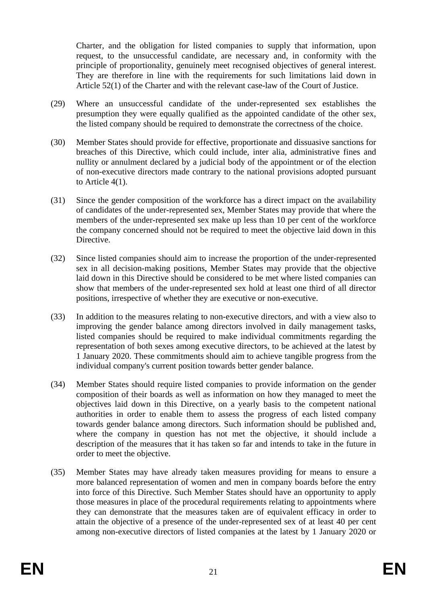Charter, and the obligation for listed companies to supply that information, upon request, to the unsuccessful candidate, are necessary and, in conformity with the principle of proportionality, genuinely meet recognised objectives of general interest. They are therefore in line with the requirements for such limitations laid down in Article 52(1) of the Charter and with the relevant case-law of the Court of Justice.

- (29) Where an unsuccessful candidate of the under-represented sex establishes the presumption they were equally qualified as the appointed candidate of the other sex, the listed company should be required to demonstrate the correctness of the choice.
- (30) Member States should provide for effective, proportionate and dissuasive sanctions for breaches of this Directive, which could include, inter alia, administrative fines and nullity or annulment declared by a judicial body of the appointment or of the election of non-executive directors made contrary to the national provisions adopted pursuant to Article 4(1).
- (31) Since the gender composition of the workforce has a direct impact on the availability of candidates of the under-represented sex, Member States may provide that where the members of the under-represented sex make up less than 10 per cent of the workforce the company concerned should not be required to meet the objective laid down in this Directive.
- (32) Since listed companies should aim to increase the proportion of the under-represented sex in all decision-making positions, Member States may provide that the objective laid down in this Directive should be considered to be met where listed companies can show that members of the under-represented sex hold at least one third of all director positions, irrespective of whether they are executive or non-executive.
- (33) In addition to the measures relating to non-executive directors, and with a view also to improving the gender balance among directors involved in daily management tasks, listed companies should be required to make individual commitments regarding the representation of both sexes among executive directors, to be achieved at the latest by 1 January 2020. These commitments should aim to achieve tangible progress from the individual company's current position towards better gender balance.
- (34) Member States should require listed companies to provide information on the gender composition of their boards as well as information on how they managed to meet the objectives laid down in this Directive, on a yearly basis to the competent national authorities in order to enable them to assess the progress of each listed company towards gender balance among directors. Such information should be published and, where the company in question has not met the objective, it should include a description of the measures that it has taken so far and intends to take in the future in order to meet the objective.
- (35) Member States may have already taken measures providing for means to ensure a more balanced representation of women and men in company boards before the entry into force of this Directive. Such Member States should have an opportunity to apply those measures in place of the procedural requirements relating to appointments where they can demonstrate that the measures taken are of equivalent efficacy in order to attain the objective of a presence of the under-represented sex of at least 40 per cent among non-executive directors of listed companies at the latest by 1 January 2020 or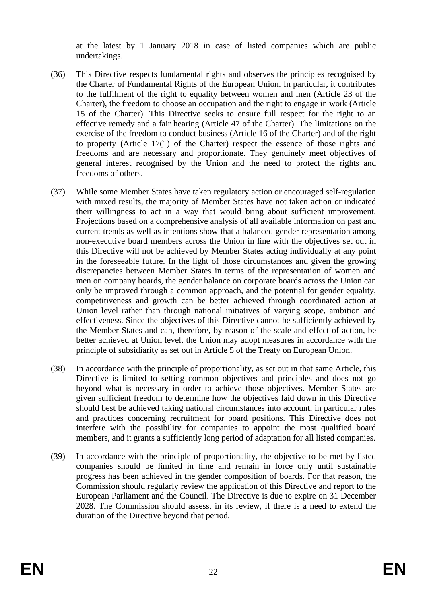at the latest by 1 January 2018 in case of listed companies which are public undertakings.

- (36) This Directive respects fundamental rights and observes the principles recognised by the Charter of Fundamental Rights of the European Union. In particular, it contributes to the fulfilment of the right to equality between women and men (Article 23 of the Charter), the freedom to choose an occupation and the right to engage in work (Article 15 of the Charter). This Directive seeks to ensure full respect for the right to an effective remedy and a fair hearing (Article 47 of the Charter). The limitations on the exercise of the freedom to conduct business (Article 16 of the Charter) and of the right to property (Article 17(1) of the Charter) respect the essence of those rights and freedoms and are necessary and proportionate. They genuinely meet objectives of general interest recognised by the Union and the need to protect the rights and freedoms of others.
- (37) While some Member States have taken regulatory action or encouraged self-regulation with mixed results, the majority of Member States have not taken action or indicated their willingness to act in a way that would bring about sufficient improvement. Projections based on a comprehensive analysis of all available information on past and current trends as well as intentions show that a balanced gender representation among non-executive board members across the Union in line with the objectives set out in this Directive will not be achieved by Member States acting individually at any point in the foreseeable future. In the light of those circumstances and given the growing discrepancies between Member States in terms of the representation of women and men on company boards, the gender balance on corporate boards across the Union can only be improved through a common approach, and the potential for gender equality, competitiveness and growth can be better achieved through coordinated action at Union level rather than through national initiatives of varying scope, ambition and effectiveness. Since the objectives of this Directive cannot be sufficiently achieved by the Member States and can, therefore, by reason of the scale and effect of action, be better achieved at Union level, the Union may adopt measures in accordance with the principle of subsidiarity as set out in Article 5 of the Treaty on European Union.
- (38) In accordance with the principle of proportionality, as set out in that same Article, this Directive is limited to setting common objectives and principles and does not go beyond what is necessary in order to achieve those objectives. Member States are given sufficient freedom to determine how the objectives laid down in this Directive should best be achieved taking national circumstances into account, in particular rules and practices concerning recruitment for board positions. This Directive does not interfere with the possibility for companies to appoint the most qualified board members, and it grants a sufficiently long period of adaptation for all listed companies.
- (39) In accordance with the principle of proportionality, the objective to be met by listed companies should be limited in time and remain in force only until sustainable progress has been achieved in the gender composition of boards. For that reason, the Commission should regularly review the application of this Directive and report to the European Parliament and the Council. The Directive is due to expire on 31 December 2028. The Commission should assess, in its review, if there is a need to extend the duration of the Directive beyond that period.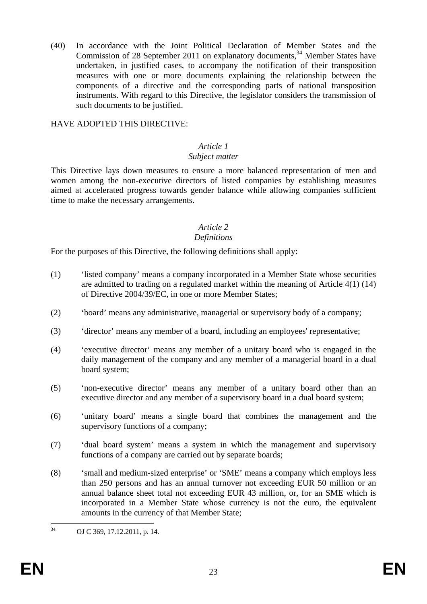(40) In accordance with the Joint Political Declaration of Member States and the Commission of 28 September 2011 on explanatory documents,  $34$  Member States have undertaken, in justified cases, to accompany the notification of their transposition measures with one or more documents explaining the relationship between the components of a directive and the corresponding parts of national transposition instruments. With regard to this Directive, the legislator considers the transmission of such documents to be justified.

### HAVE ADOPTED THIS DIRECTIVE:

## *Article 1*

### *Subject matter*

This Directive lays down measures to ensure a more balanced representation of men and women among the non-executive directors of listed companies by establishing measures aimed at accelerated progress towards gender balance while allowing companies sufficient time to make the necessary arrangements.

# *Article 2*

#### *Definitions*

For the purposes of this Directive, the following definitions shall apply:

- (1) 'listed company' means a company incorporated in a Member State whose securities are admitted to trading on a regulated market within the meaning of Article 4(1) (14) of Directive 2004/39/EC, in one or more Member States;
- (2) 'board' means any administrative, managerial or supervisory body of a company;
- (3) 'director' means any member of a board, including an employees' representative;
- (4) 'executive director' means any member of a unitary board who is engaged in the daily management of the company and any member of a managerial board in a dual board system;
- (5) 'non-executive director' means any member of a unitary board other than an executive director and any member of a supervisory board in a dual board system;
- (6) 'unitary board' means a single board that combines the management and the supervisory functions of a company;
- (7) 'dual board system' means a system in which the management and supervisory functions of a company are carried out by separate boards;
- (8) 'small and medium-sized enterprise' or 'SME' means a company which employs less than 250 persons and has an annual turnover not exceeding EUR 50 million or an annual balance sheet total not exceeding EUR 43 million, or, for an SME which is incorporated in a Member State whose currency is not the euro, the equivalent amounts in the currency of that Member State;

 $34$ OJ C 369, 17.12.2011, p. 14.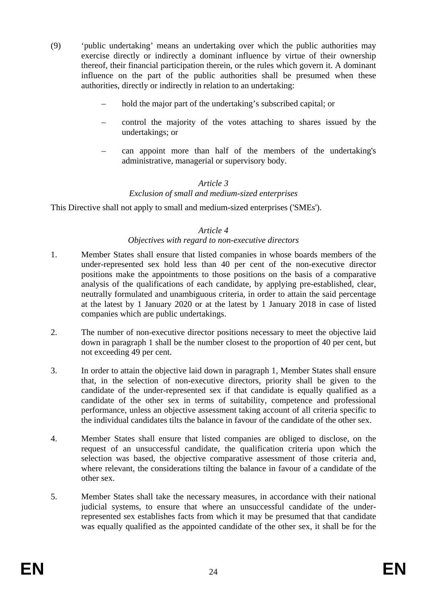- (9) 'public undertaking' means an undertaking over which the public authorities may exercise directly or indirectly a dominant influence by virtue of their ownership thereof, their financial participation therein, or the rules which govern it. A dominant influence on the part of the public authorities shall be presumed when these authorities, directly or indirectly in relation to an undertaking:
	- hold the major part of the undertaking's subscribed capital; or
	- control the majority of the votes attaching to shares issued by the undertakings; or
	- can appoint more than half of the members of the undertaking's administrative, managerial or supervisory body.

#### *Article 3*

# *Exclusion of small and medium-sized enterprises*

This Directive shall not apply to small and medium-sized enterprises ('SMEs').

#### *Article 4*

#### *Objectives with regard to non-executive directors*

- 1. Member States shall ensure that listed companies in whose boards members of the under-represented sex hold less than 40 per cent of the non-executive director positions make the appointments to those positions on the basis of a comparative analysis of the qualifications of each candidate, by applying pre-established, clear, neutrally formulated and unambiguous criteria, in order to attain the said percentage at the latest by 1 January 2020 or at the latest by 1 January 2018 in case of listed companies which are public undertakings.
- 2. The number of non-executive director positions necessary to meet the objective laid down in paragraph 1 shall be the number closest to the proportion of 40 per cent, but not exceeding 49 per cent.
- 3. In order to attain the objective laid down in paragraph 1, Member States shall ensure that, in the selection of non-executive directors, priority shall be given to the candidate of the under-represented sex if that candidate is equally qualified as a candidate of the other sex in terms of suitability, competence and professional performance, unless an objective assessment taking account of all criteria specific to the individual candidates tilts the balance in favour of the candidate of the other sex.
- 4. Member States shall ensure that listed companies are obliged to disclose, on the request of an unsuccessful candidate, the qualification criteria upon which the selection was based, the objective comparative assessment of those criteria and, where relevant, the considerations tilting the balance in favour of a candidate of the other sex.
- 5. Member States shall take the necessary measures, in accordance with their national judicial systems, to ensure that where an unsuccessful candidate of the underrepresented sex establishes facts from which it may be presumed that that candidate was equally qualified as the appointed candidate of the other sex, it shall be for the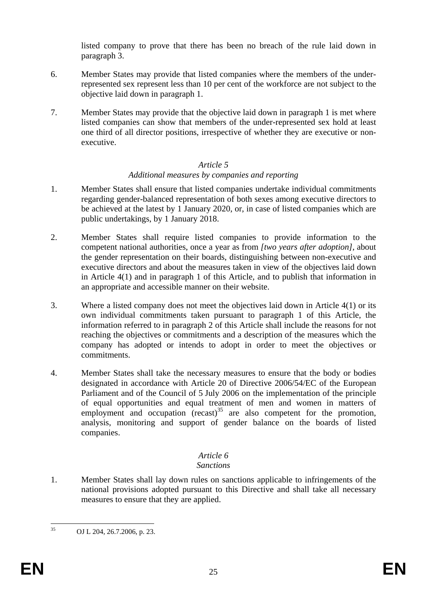listed company to prove that there has been no breach of the rule laid down in paragraph 3.

- 6. Member States may provide that listed companies where the members of the underrepresented sex represent less than 10 per cent of the workforce are not subject to the objective laid down in paragraph 1.
- 7. Member States may provide that the objective laid down in paragraph 1 is met where listed companies can show that members of the under-represented sex hold at least one third of all director positions, irrespective of whether they are executive or nonexecutive.

### *Article 5 Additional measures by companies and reporting*

- 1. Member States shall ensure that listed companies undertake individual commitments regarding gender-balanced representation of both sexes among executive directors to be achieved at the latest by 1 January 2020, or, in case of listed companies which are public undertakings, by 1 January 2018.
- 2. Member States shall require listed companies to provide information to the competent national authorities, once a year as from *[two years after adoption]*, about the gender representation on their boards, distinguishing between non-executive and executive directors and about the measures taken in view of the objectives laid down in Article 4(1) and in paragraph 1 of this Article, and to publish that information in an appropriate and accessible manner on their website.
- 3. Where a listed company does not meet the objectives laid down in Article 4(1) or its own individual commitments taken pursuant to paragraph 1 of this Article, the information referred to in paragraph 2 of this Article shall include the reasons for not reaching the objectives or commitments and a description of the measures which the company has adopted or intends to adopt in order to meet the objectives or commitments.
- 4. Member States shall take the necessary measures to ensure that the body or bodies designated in accordance with Article 20 of Directive 2006/54/EC of the European Parliament and of the Council of 5 July 2006 on the implementation of the principle of equal opportunities and equal treatment of men and women in matters of employment and occupation  $(recall)^35$  are also competent for the promotion, analysis, monitoring and support of gender balance on the boards of listed companies.

# *Article 6*

## *Sanctions*

1. Member States shall lay down rules on sanctions applicable to infringements of the national provisions adopted pursuant to this Directive and shall take all necessary measures to ensure that they are applied.

 $35$ OJ L 204, 26.7.2006, p. 23.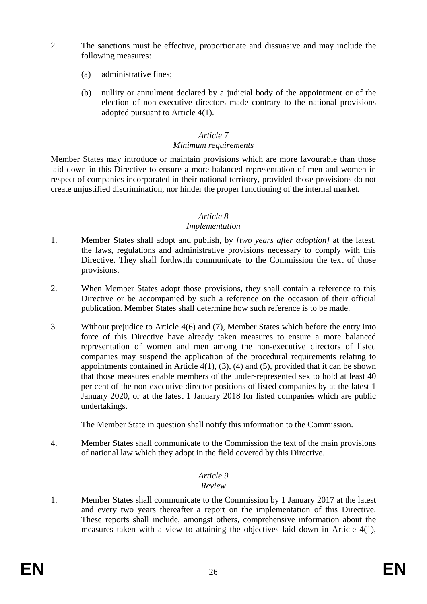- 2. The sanctions must be effective, proportionate and dissuasive and may include the following measures:
	- (a) administrative fines;
	- (b) nullity or annulment declared by a judicial body of the appointment or of the election of non-executive directors made contrary to the national provisions adopted pursuant to Article 4(1).

### *Article 7 Minimum requirements*

Member States may introduce or maintain provisions which are more favourable than those laid down in this Directive to ensure a more balanced representation of men and women in respect of companies incorporated in their national territory, provided those provisions do not create unjustified discrimination, nor hinder the proper functioning of the internal market.

### *Article 8*

#### *Implementation*

- 1. Member States shall adopt and publish, by *[two years after adoption]* at the latest, the laws, regulations and administrative provisions necessary to comply with this Directive. They shall forthwith communicate to the Commission the text of those provisions.
- 2. When Member States adopt those provisions, they shall contain a reference to this Directive or be accompanied by such a reference on the occasion of their official publication. Member States shall determine how such reference is to be made.
- 3. Without prejudice to Article 4(6) and (7), Member States which before the entry into force of this Directive have already taken measures to ensure a more balanced representation of women and men among the non-executive directors of listed companies may suspend the application of the procedural requirements relating to appointments contained in Article  $4(1)$ ,  $(3)$ ,  $(4)$  and  $(5)$ , provided that it can be shown that those measures enable members of the under-represented sex to hold at least 40 per cent of the non-executive director positions of listed companies by at the latest 1 January 2020, or at the latest 1 January 2018 for listed companies which are public undertakings.

The Member State in question shall notify this information to the Commission.

4. Member States shall communicate to the Commission the text of the main provisions of national law which they adopt in the field covered by this Directive.

#### *Article 9 Review*

1. Member States shall communicate to the Commission by 1 January 2017 at the latest and every two years thereafter a report on the implementation of this Directive. These reports shall include, amongst others, comprehensive information about the measures taken with a view to attaining the objectives laid down in Article 4(1),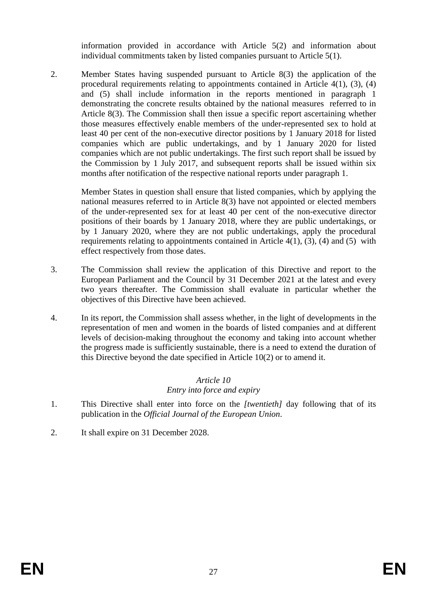information provided in accordance with Article 5(2) and information about individual commitments taken by listed companies pursuant to Article 5(1).

2. Member States having suspended pursuant to Article 8(3) the application of the procedural requirements relating to appointments contained in Article 4(1), (3), (4) and (5) shall include information in the reports mentioned in paragraph 1 demonstrating the concrete results obtained by the national measures referred to in Article 8(3). The Commission shall then issue a specific report ascertaining whether those measures effectively enable members of the under-represented sex to hold at least 40 per cent of the non-executive director positions by 1 January 2018 for listed companies which are public undertakings, and by 1 January 2020 for listed companies which are not public undertakings. The first such report shall be issued by the Commission by 1 July 2017, and subsequent reports shall be issued within six months after notification of the respective national reports under paragraph 1.

Member States in question shall ensure that listed companies, which by applying the national measures referred to in Article 8(3) have not appointed or elected members of the under-represented sex for at least 40 per cent of the non-executive director positions of their boards by 1 January 2018, where they are public undertakings, or by 1 January 2020, where they are not public undertakings, apply the procedural requirements relating to appointments contained in Article  $4(1)$ ,  $(3)$ ,  $(4)$  and  $(5)$  with effect respectively from those dates.

- 3. The Commission shall review the application of this Directive and report to the European Parliament and the Council by 31 December 2021 at the latest and every two years thereafter. The Commission shall evaluate in particular whether the objectives of this Directive have been achieved.
- 4. In its report, the Commission shall assess whether, in the light of developments in the representation of men and women in the boards of listed companies and at different levels of decision-making throughout the economy and taking into account whether the progress made is sufficiently sustainable, there is a need to extend the duration of this Directive beyond the date specified in Article 10(2) or to amend it.

## *Article 10*

## *Entry into force and expiry*

- 1. This Directive shall enter into force on the *[twentieth]* day following that of its publication in the *Official Journal of the European Union*.
- 2. It shall expire on 31 December 2028.